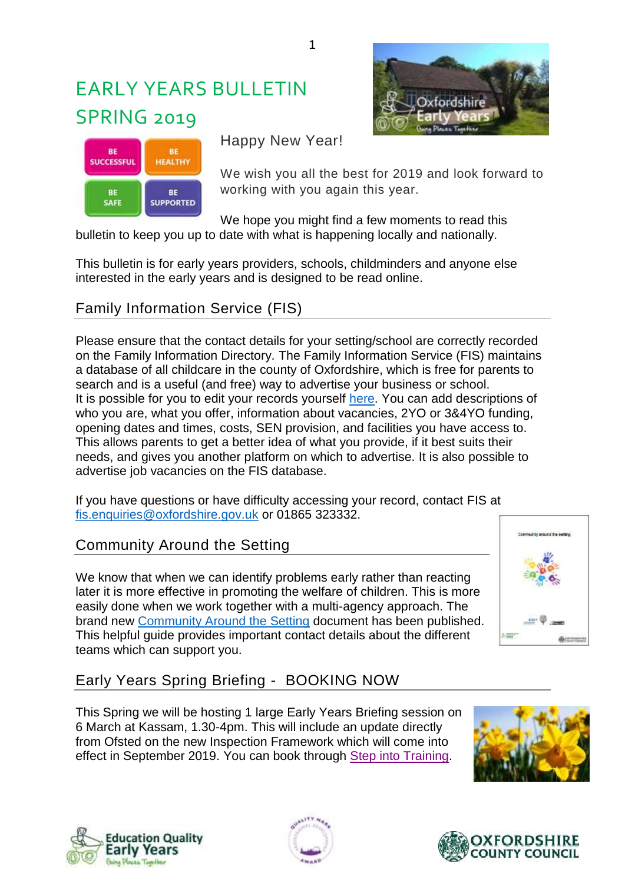# EARLY YEARS BULLETIN **SPRING 2019**





Happy New Year!

We wish you all the best for 2019 and look forward to working with you again this year.

We hope you might find a few moments to read this bulletin to keep you up to date with what is happening locally and nationally.

This bulletin is for early years providers, schools, childminders and anyone else interested in the early years and is designed to be read online.

# Family Information Service (FIS)

Please ensure that the contact details for your setting/school are correctly recorded on the Family Information Directory. The Family Information Service (FIS) maintains a database of all childcare in the county of Oxfordshire, which is free for parents to search and is a useful (and free) way to advertise your business or school. It is possible for you to edit your records yourself [here.](https://fisd.oxfordshire.gov.uk/kb5/oxfordshire/directory/providers.page) You can add descriptions of who you are, what you offer, information about vacancies, 2YO or 3&4YO funding, opening dates and times, costs, SEN provision, and facilities you have access to. This allows parents to get a better idea of what you provide, if it best suits their needs, and gives you another platform on which to advertise. It is also possible to advertise job vacancies on the FIS database.

If you have questions or have difficulty accessing your record, contact FIS at [fis.enquiries@oxfordshire.gov.uk](mailto:fis.enquiries@oxfordshire.gov.uk) or 01865 323332.

## Community Around the Setting

We know that when we can identify problems early rather than reacting later it is more effective in promoting the welfare of children. This is more easily done when we work together with a multi-agency approach. The brand new [Community Around the Setting](https://www2.oxfordshire.gov.uk/cms/sites/default/files/folders/documents/childreneducationandfamilies/educationandlearning/earlyyearschildcare/communityaroundsetting.pdf) document has been published. This helpful guide provides important contact details about the different teams which can support you.



# Early Years Spring Briefing - BOOKING NOW

This Spring we will be hosting 1 large Early Years Briefing session on 6 March at Kassam, 1.30-4pm. This will include an update directly from Ofsted on the new Inspection Framework which will come into effect in September 2019. You can book through [Step into Training.](https://oxfordshirecpdonline.com/courses/bookings/c_detail.asp?cid=11523&iscancelled=0&curpage=&keyword=&ds=1&unconfirmed=&cs=&subid=&ccid=&cscid=&search_theme=&keystage=&sdate=&searchcode=&asearch=&tutid=&estid=&sday=&smonth=&syear=&targetid=&cal=1&calday=6&calmonth=3&calyear=2019&caldate=&submonth=&subyear=&list=&palist=&frompage=&a=&b=&c=&d=&s_leaid=&searchpostcode=)









1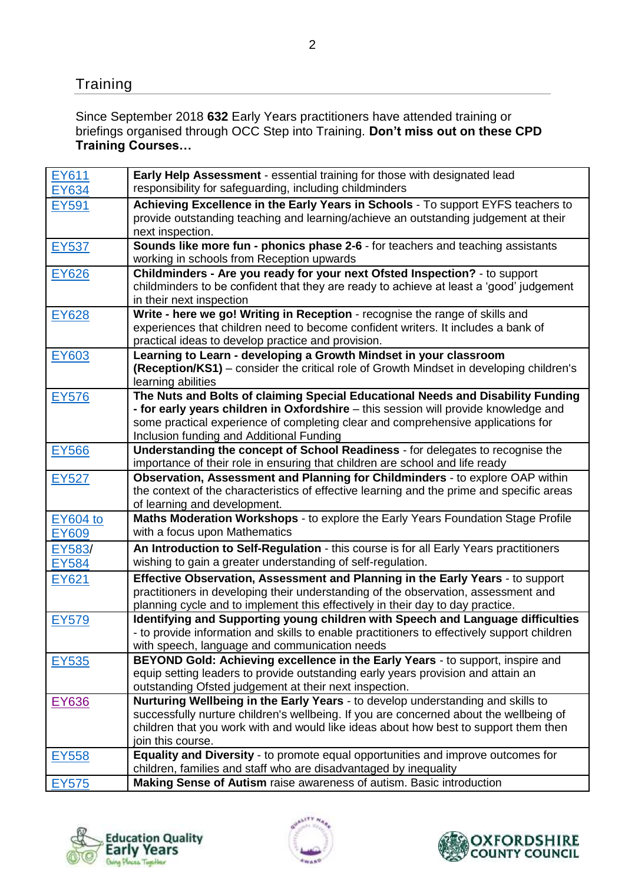# **Training**

Since September 2018 **632** Early Years practitioners have attended training or briefings organised through OCC Step into Training. **Don't miss out on these CPD Training Courses…**

| EY611           | Early Help Assessment - essential training for those with designated lead                                     |
|-----------------|---------------------------------------------------------------------------------------------------------------|
| <b>EY634</b>    | responsibility for safeguarding, including childminders                                                       |
| EY591           | Achieving Excellence in the Early Years in Schools - To support EYFS teachers to                              |
|                 | provide outstanding teaching and learning/achieve an outstanding judgement at their                           |
|                 | next inspection.                                                                                              |
| <b>EY537</b>    | Sounds like more fun - phonics phase 2-6 - for teachers and teaching assistants                               |
|                 | working in schools from Reception upwards                                                                     |
| EY626           | Childminders - Are you ready for your next Ofsted Inspection? - to support                                    |
|                 | childminders to be confident that they are ready to achieve at least a 'good' judgement                       |
|                 | in their next inspection                                                                                      |
| EY628           | Write - here we go! Writing in Reception - recognise the range of skills and                                  |
|                 | experiences that children need to become confident writers. It includes a bank of                             |
|                 | practical ideas to develop practice and provision.                                                            |
| EY603           | Learning to Learn - developing a Growth Mindset in your classroom                                             |
|                 | (Reception/KS1) – consider the critical role of Growth Mindset in developing children's<br>learning abilities |
|                 | The Nuts and Bolts of claiming Special Educational Needs and Disability Funding                               |
| <b>EY576</b>    | - for early years children in Oxfordshire - this session will provide knowledge and                           |
|                 | some practical experience of completing clear and comprehensive applications for                              |
|                 | Inclusion funding and Additional Funding                                                                      |
| <b>EY566</b>    | Understanding the concept of School Readiness - for delegates to recognise the                                |
|                 | importance of their role in ensuring that children are school and life ready                                  |
| EY527           | Observation, Assessment and Planning for Childminders - to explore OAP within                                 |
|                 | the context of the characteristics of effective learning and the prime and specific areas                     |
|                 | of learning and development.                                                                                  |
| <b>EY604 to</b> | Maths Moderation Workshops - to explore the Early Years Foundation Stage Profile                              |
| <b>EY609</b>    | with a focus upon Mathematics                                                                                 |
| EY583/          | An Introduction to Self-Regulation - this course is for all Early Years practitioners                         |
| <b>EY584</b>    | wishing to gain a greater understanding of self-regulation.                                                   |
| EY621           | Effective Observation, Assessment and Planning in the Early Years - to support                                |
|                 | practitioners in developing their understanding of the observation, assessment and                            |
|                 | planning cycle and to implement this effectively in their day to day practice.                                |
| <b>EY579</b>    | Identifying and Supporting young children with Speech and Language difficulties                               |
|                 | - to provide information and skills to enable practitioners to effectively support children                   |
|                 | with speech, language and communication needs                                                                 |
| EY535           | BEYOND Gold: Achieving excellence in the Early Years - to support, inspire and                                |
|                 | equip setting leaders to provide outstanding early years provision and attain an                              |
|                 | outstanding Ofsted judgement at their next inspection.                                                        |
| EY636           | Nurturing Wellbeing in the Early Years - to develop understanding and skills to                               |
|                 | successfully nurture children's wellbeing. If you are concerned about the wellbeing of                        |
|                 | children that you work with and would like ideas about how best to support them then                          |
|                 | join this course.<br>Equality and Diversity - to promote equal opportunities and improve outcomes for         |
| <b>EY558</b>    | children, families and staff who are disadvantaged by inequality                                              |
| <b>EY575</b>    | Making Sense of Autism raise awareness of autism. Basic introduction                                          |
|                 |                                                                                                               |





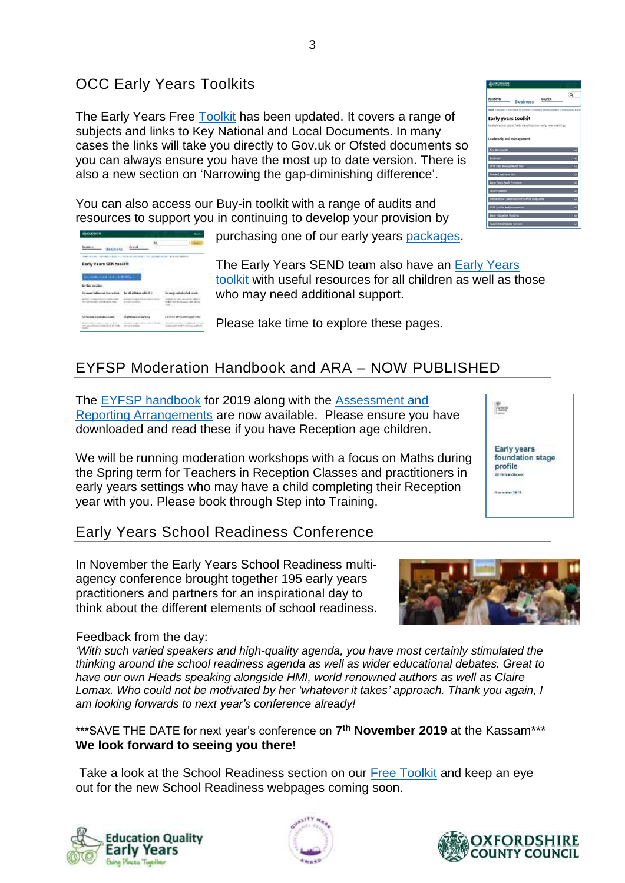# OCC Early Years Toolkits

**Basiness** David

**STATISTICS** 

**Early Vearn SER hoofbit** 

The Early Years Free [Toolkit](https://www.oxfordshire.gov.uk/business/information-providers/childrens-services-providers/good-practice-and-ideas-childcare-providers/early-years-toolkit) has been updated. It covers a range of subjects and links to Key National and Local Documents. In many cases the links will take you directly to Gov.uk or Ofsted documents so you can always ensure you have the most up to date version. There is also a new section on 'Narrowing the gap-diminishing difference'.

You can also access our Buy-in toolkit with a range of audits and resources to support you in continuing to develop your provision by

purchasing one of our early years [packages.](https://www.oxfordshire.gov.uk/business/information-providers/childrens-services-providers/good-practice-and-ideas-childcare-providers/buy-support)

The Early Years SEND team also have an [Early Years](https://www.oxfordshire.gov.uk/business/information-providers/childrens-services-providers/sen-support-providers/early-years-sen-toolkit)  [toolkit](https://www.oxfordshire.gov.uk/business/information-providers/childrens-services-providers/sen-support-providers/early-years-sen-toolkit) with useful resources for all children as well as those who may need additional support.

Please take time to explore these pages.

# EYFSP Moderation Handbook and ARA – NOW PUBLISHED

The [EYFSP handbook](https://www.gov.uk/government/publications/early-years-foundation-stage-profile-handbook) for 2019 along with the [Assessment and](https://www.gov.uk/government/publications/2019-early-years-foundation-stage-assessment-and-reporting-arrangements-ara)  [Reporting Arrangements](https://www.gov.uk/government/publications/2019-early-years-foundation-stage-assessment-and-reporting-arrangements-ara) are now available. Please ensure you have downloaded and read these if you have Reception age children.

We will be running moderation workshops with a focus on Maths during the Spring term for Teachers in Reception Classes and practitioners in early years settings who may have a child completing their Reception year with you. Please book through Step into Training.

#### Early Years School Readiness Conference

In November the Early Years School Readiness multiagency conference brought together 195 early years practitioners and partners for an inspirational day to think about the different elements of school readiness.

#### Feedback from the day:

*'With such varied speakers and high-quality agenda, you have most certainly stimulated the thinking around the school readiness agenda as well as wider educational debates. Great to have our own Heads speaking alongside HMI, world renowned authors as well as Claire Lomax. Who could not be motivated by her 'whatever it takes' approach. Thank you again, I am looking forwards to next year's conference already!*

\*\*\*SAVE THE DATE for next year's conference on **7 th November 2019** at the Kassam\*\*\* **We look forward to seeing you there!**

Take a look at the School Readiness section on our [Free Toolkit](https://www.oxfordshire.gov.uk/business/information-providers/childrens-services-providers/good-practice-and-ideas-childcare-providers/early-years-toolkit) and keep an eye out for the new School Readiness webpages coming soon.







**SE** 





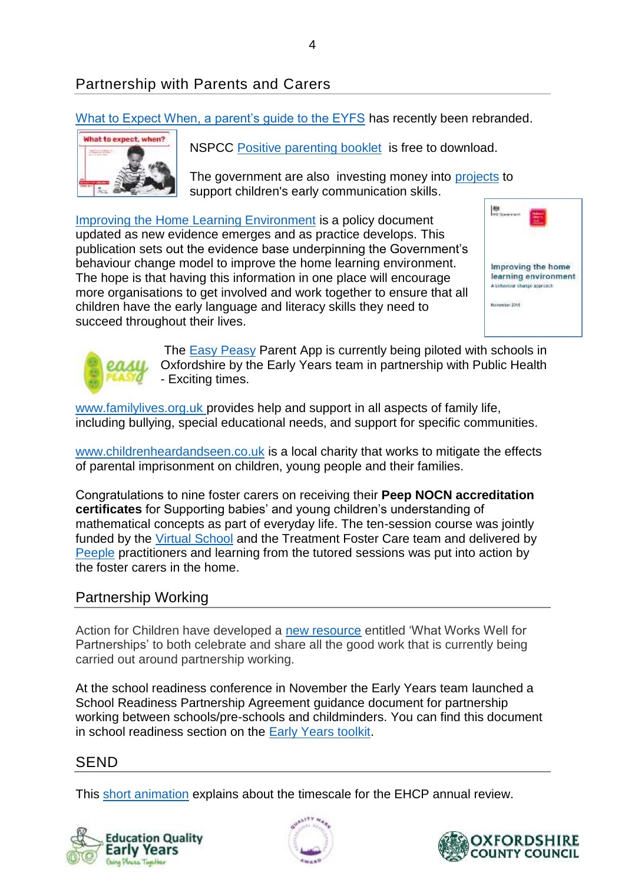[What to Expect When, a parent's guide to the EYFS](https://www.foundationyears.org.uk/what-to-expect-when/) has recently been rebranded.



NSPCC [Positive parenting booklet](https://learning.nspcc.org.uk/research-resources/leaflets/positive-parenting/) is free to download.

The government are also investing money into [projects](https://www.gov.uk/government/news/multi-million-investment-to-support-childrens-early-communication-skills?utm_source=7bf7c609-10d3-4c28-a090-fd83abf87c5a&utm_medium=email&utm_campaign=govuk-notifications&utm_content=daily) to support children's early communication skills.

[Improving the Home Learning Environment](https://www.gov.uk/government/publications/improving-the-home-learning-environment?utm_source=57fd091f-0ec8-4c83-8511-007f037e17cc&utm_medium=email&utm_campaign=govuk-notifications&utm_content=daily&fbclid=IwAR2e_DeLHQU6U_EI0kZbRacBD4g92JEfoWEZEtgMEWVgJNbBxglmuubjKfg) is a policy document updated as new evidence emerges and as practice develops. This publication sets out the evidence base underpinning the Government's behaviour change model to improve the home learning environment. The hope is that having this information in one place will encourage more organisations to get involved and work together to ensure that all children have the early language and literacy skills they need to succeed throughout their lives.





The [Easy Peasy](https://easypeasyapp.com/) Parent App is currently being piloted with schools in Oxfordshire by the Early Years team in partnership with Public Health - Exciting times.

[www.familylives.org.uk](http://www.familylives.org.uk/) provides help and support in all aspects of family life, including bullying, special educational needs, and support for specific communities.

[www.childrenheardandseen.co.uk](http://www.childrenheardandseen.co.uk/) is a local charity that works to mitigate the effects of parental imprisonment on children, young people and their families.

Congratulations to nine foster carers on receiving their **Peep NOCN accreditation certificates** for Supporting babies' and young children's understanding of mathematical concepts as part of everyday life. The ten-session course was jointly funded by the [Virtual School](https://www.oxfordshire.gov.uk/residents/schools/virtual-school-looked-after-children-and-care-leavers-0-25) and the Treatment Foster Care team and delivered by [Peeple](https://www.peeple.org.uk/) practitioners and learning from the tutored sessions was put into action by the foster carers in the home.

# Partnership Working

Action for Children have developed a [new resource](https://www.foundationyears.org.uk/wp-content/uploads/2018/11/What-Works-Well-resource-final.pdf?utm_campaign=753185_Useful%20resources&utm_medium=email&utm_source=dotmailer&dm_i=3WYE,G55T,4VYPRG,1Y048,1) entitled 'What Works Well for Partnerships' to both celebrate and share all the good work that is currently being carried out around partnership working.

At the school readiness conference in November the Early Years team launched a School Readiness Partnership Agreement guidance document for partnership working between schools/pre-schools and childminders. You can find this document in school readiness section on the [Early Years toolkit.](https://www.oxfordshire.gov.uk/business/information-providers/childrens-services-providers/good-practice-and-ideas-childcare-providers/early-years-toolkit)

#### SEND

This [short animation](https://www.youtube.com/watch?v=D9n5EzYIwKA) explains about the timescale for the EHCP annual review.





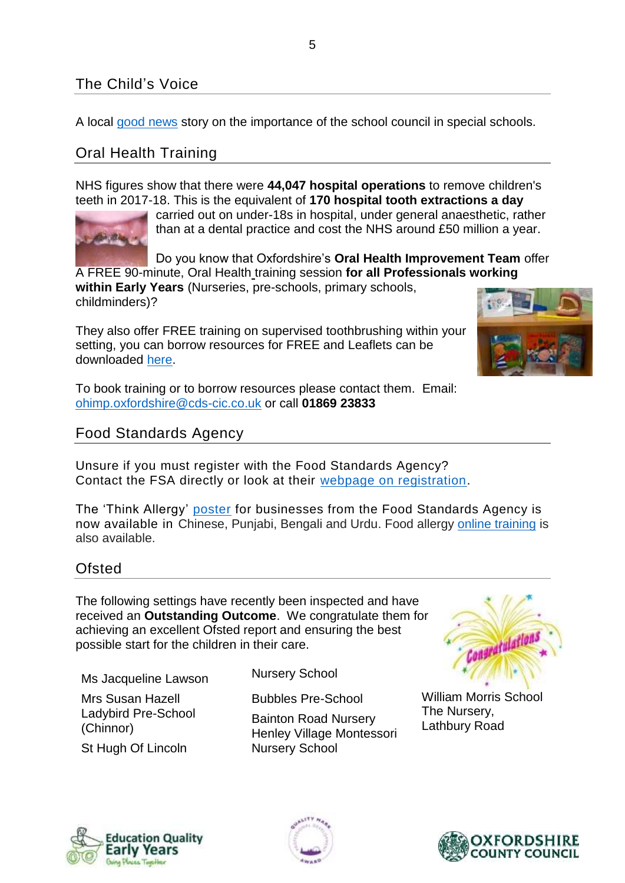# The Child's Voice

A local [good news](https://schoolsweek.co.uk/the-school-leading-on-job-shares-from-the-top/) story on the importance of the school council in special schools.

# Oral Health Training

NHS figures show that there were **44,047 hospital operations** to remove children's teeth in 2017-18. This is the equivalent of **170 hospital tooth extractions a day** 



carried out on under-18s in hospital, under general anaesthetic, rather than at a dental practice and cost the NHS around £50 million a year.

Do you know that Oxfordshire's **Oral Health Improvement Team** offer A FREE 90-minute, Oral Health training session **for all Professionals working** 

**within Early Years** (Nurseries, pre-schools, primary schools, childminders)?

They also offer FREE training on supervised toothbrushing within your setting, you can borrow resources for FREE and Leaflets can be downloaded [here.](https://communitydentalservices.co.uk/leaflets/childrens-leaflets/)

To book training or to borrow resources please contact them. Email: [ohimp.oxfordshire@cds-cic.co.uk](mailto:ohimp.oxfordshire@cds-cic.co.uk) or call **01869 23833**

#### Food Standards Agency

Unsure if you must register with the Food Standards Agency? Contact the FSA directly or look at their [webpage on registration.](https://www.food.gov.uk/business-guidance/register-a-food-business)

The 'Think Allergy' [poster](https://www.food.gov.uk/business-guidance/allergen-guidance-for-industry) for businesses from the Food Standards Agency is now available in Chinese, Punjabi, Bengali and Urdu. Food allergy [online training](http://allergytraining.food.gov.uk/english/?mc_cid=157a3eff40&mc_eid=e2fd8af67c) is also available.

#### **Ofsted**

The following settings have recently been inspected and have received an **Outstanding Outcome**. We congratulate them for achieving an excellent Ofsted report and ensuring the best possible start for the children in their care.

Ms Jacqueline Lawson

Mrs Susan Hazell Ladybird Pre-School (Chinnor)

St Hugh Of Lincoln

Nursery School

Bubbles Pre-School

Bainton Road Nursery Henley Village Montessori Nursery School



William Morris School The Nursery, Lathbury Road







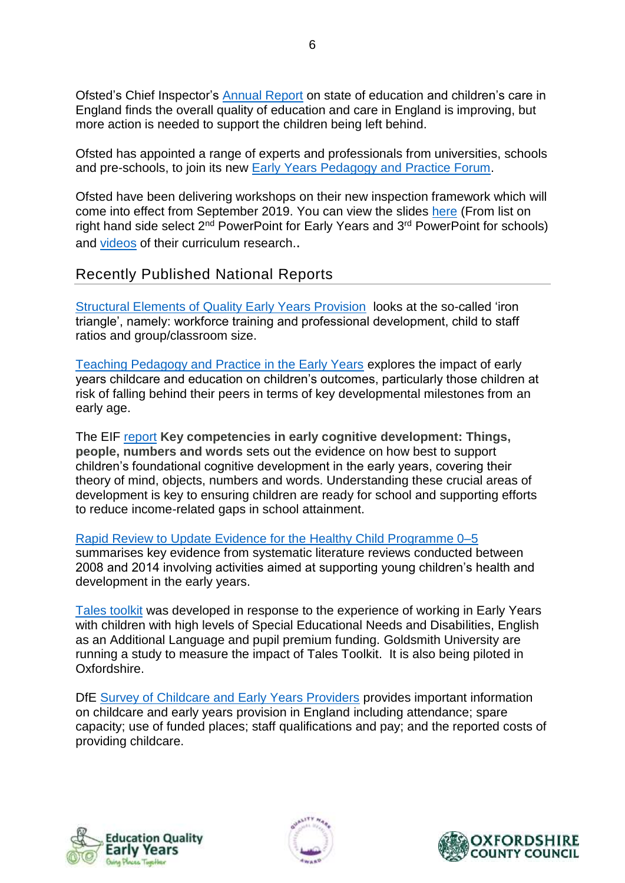Ofsted's Chief Inspector's [Annual Report](https://www.gov.uk/government/news/ofsted-chief-inspector-launches-her-second-annual-report-on-state-of-education-and-childrens-care-in-england) on state of education and children's care in England finds the overall quality of education and care in England is improving, but more action is needed to support the children being left behind.

Ofsted has appointed a range of experts and professionals from universities, schools and pre-schools, to join its new [Early Years Pedagogy and Practice Forum.](https://www.gov.uk/government/news/ofsted-early-years-pedagogy-and-practice-forum-members-announced)

Ofsted have been delivering workshops on their new inspection framework which will come into effect from September 2019. You can view the slides [here](https://www.slideshare.net/Ofstednews) (From list on right hand side select  $2<sup>nd</sup>$  PowerPoint for Early Years and  $3<sup>rd</sup>$  PowerPoint for schools) and [videos](https://www.youtube.com/playlist?list=PLLq-zBnUkspPXjODb3PJ4gCqNc2LvfhSh) of their curriculum research..

#### Recently Published National Reports

[Structural Elements of Quality Early Years Provision](https://epi.org.uk/wp-content/uploads/2018/08/Early-years-structural-quality-review_EPI.pdf)looks at the so-called 'iron triangle', namely: workforce training and professional development, child to staff ratios and group/classroom size.

[Teaching Pedagogy and Practice in the Early Years](https://www.eif.org.uk/report/teaching-pedagogy-and-practice-in-early-years-childcare-an-evidence-review) explores the impact of early years childcare and education on children's outcomes, particularly those children at risk of falling behind their peers in terms of key developmental milestones from an early age.

The EIF [report](https://www.eif.org.uk/files/pdf/summary-key-competencies-in-early-cognitive-development.pdf) **Key competencies in early cognitive development: Things, people, numbers and words** sets out the evidence on how best to support children's foundational cognitive development in the early years, covering their theory of mind, objects, numbers and words. Understanding these crucial areas of development is key to ensuring children are ready for school and supporting efforts to reduce income-related gaps in school attainment.

[Rapid Review to Update Evidence for the Healthy Child Programme 0–5](https://www.eif.org.uk/download.php?file=files/pdf/what-works-to-enhance-effectiveness-healthy-child-summary.pdf) summarises key evidence from systematic literature reviews conducted between 2008 and 2014 involving activities aimed at supporting young children's health and development in the early years.

[Tales toolkit](http://talestoolkit.com/goldsmiths-report/) was developed in response to the experience of working in Early Years with children with high levels of Special Educational Needs and Disabilities, English as an Additional Language and pupil premium funding. Goldsmith University are running a study to measure the impact of Tales Toolkit. It is also being piloted in Oxfordshire.

DfE [Survey of Childcare and Early Years Providers](https://assets.publishing.service.gov.uk/government/uploads/system/uploads/attachment_data/file/752919/Survey_of_Childcare_and_Early_Years_Providers_2018_Main_Summary3.pdf) provides important information on childcare and early years provision in England including attendance; spare capacity; use of funded places; staff qualifications and pay; and the reported costs of providing childcare.





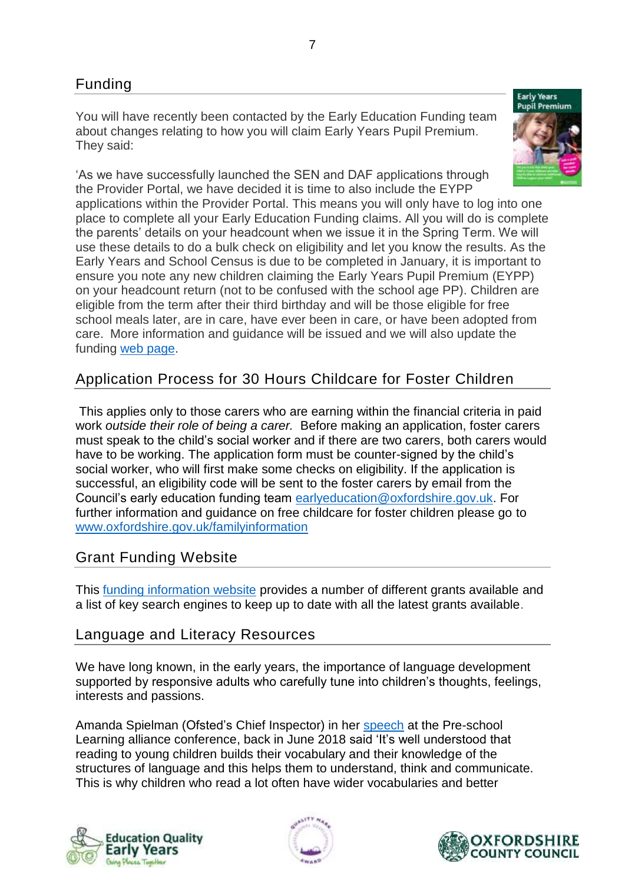You will have recently been contacted by the Early Education Funding team about changes relating to how you will claim Early Years Pupil Premium*.*  They said:



'As we have successfully launched the SEN and DAF applications through the Provider Portal, we have decided it is time to also include the EYPP applications within the Provider Portal. This means you will only have to log into one place to complete all your Early Education Funding claims. All you will do is complete the parents' details on your headcount when we issue it in the Spring Term. We will use these details to do a bulk check on eligibility and let you know the results. As the Early Years and School Census is due to be completed in January, it is important to ensure you note any new children claiming the Early Years Pupil Premium (EYPP) on your headcount return (not to be confused with the school age PP). Children are eligible from the term after their third birthday and will be those eligible for free school meals later, are in care, have ever been in care, or have been adopted from care. More information and guidance will be issued and we will also update the funding [web page.](https://www.oxfordshire.gov.uk/business/information-providers/childrens-services-providers/business-and-funding-childcare-providers/early-education-fund/early-years-pupil-premium)

# Application Process for 30 Hours Childcare for Foster Children

This applies only to those carers who are earning within the financial criteria in paid work *outside their role of being a carer.* Before making an application, foster carers must speak to the child's social worker and if there are two carers, both carers would have to be working. The application form must be counter-signed by the child's social worker, who will first make some checks on eligibility. If the application is successful, an eligibility code will be sent to the foster carers by email from the Council's early education funding team [earlyeducation@oxfordshire.gov.uk.](mailto:earlyeducation@oxfordshire.gov.uk) For further information and guidance on free childcare for foster children please go to [www.oxfordshire.gov.uk/familyinformation](http://www.oxfordshire.gov.uk/familyinformation)

# Grant Funding Website

This [funding information website](https://mycommunity.org.uk/funding-options/raising-finance-options/grants/) provides a number of different grants available and a list of key search engines to keep up to date with all the latest grants available.

## Language and Literacy Resources

We have long known, in the early years, the importance of language development supported by responsive adults who carefully tune into children's thoughts, feelings, interests and passions.

Amanda Spielman (Ofsted's Chief Inspector) in her [speech](https://www.gov.uk/government/speeches/amanda-spielman-at-the-pre-school-learning-alliance-annual-conference) at the Pre-school Learning alliance conference, back in June 2018 said 'It's well understood that reading to young children builds their vocabulary and their knowledge of the structures of language and this helps them to understand, think and communicate. This is why children who read a lot often have wider vocabularies and better





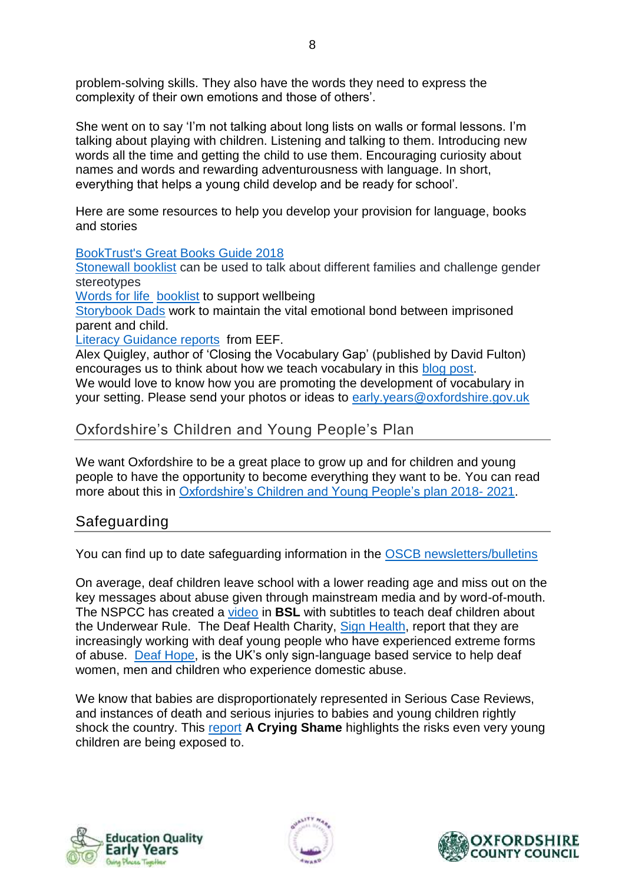problem-solving skills. They also have the words they need to express the complexity of their own emotions and those of others'.

She went on to say 'I'm not talking about long lists on walls or formal lessons. I'm talking about playing with children. Listening and talking to them. Introducing new words all the time and getting the child to use them. Encouraging curiosity about names and words and rewarding adventurousness with language. In short, everything that helps a young child develop and be ready for school'.

Here are some resources to help you develop your provision for language, books and stories

[BookTrust's Great Books Guide 2018](https://www.booktrust.org.uk/great-books-guide)

[Stonewall booklist](https://www.stonewall.org.uk/sites/default/files/reading_list_primary_final_lo_res_v2.pdf) can be used to talk about different families and challenge gender stereotypes

[Words for life](http://www.wordsforlife.org.uk/) [booklist](http://www.wordsforlife.org.uk/wellbeing/booklist) to support wellbeing

[Storybook Dads](https://www.storybookdads.org.uk/) work to maintain the vital emotional bond between imprisoned parent and child.

[Literacy Guidance reports](https://educationendowmentfoundation.org.uk/tools/guidance-reports/) from EEF.

Alex Quigley, author of 'Closing the Vocabulary Gap' (published by David Fulton) encourages us to think about how we teach vocabulary in this [blog](https://www.theconfidentteacher.com/2018/10/more-than-just-word-walls/) post. We would love to know how you are promoting the development of vocabulary in your setting. Please send your photos or ideas to [early.years@oxfordshire.gov.uk](mailto:early.years@oxfordshire.gov.uk)

#### Oxfordshire's Children and Young People's Plan

We want Oxfordshire to be a great place to grow up and for children and young people to have the opportunity to become everything they want to be. You can read more about this in [Oxfordshire's Children and Young People's](https://oxfordshire-gov.pmail4.com/PoliteMail/files/Children%20and%20Young%20People%20Plan%202018%20-%202021%20FINAL.pdf) plan 2018- 2021.

#### Safeguarding

You can find up to date safeguarding information in the [OSCB newsletters/bulletins](https://www.oscb.org.uk/oscb-publications/newsletters-and-bulletins/)

On average, deaf children leave school with a lower reading age and miss out on the key messages about abuse given through mainstream media and by word-of-mouth. The NSPCC has created a [video](https://www.nspcc.org.uk/what-we-do/news-opinion/Underwear-Rule-video-to-help-protect-deaf-children-from-abuse/) in **BSL** with subtitles to teach deaf children about the Underwear Rule. The Deaf Health Charity, Sign [Health,](https://www.signhealth.org.uk/) report that they are increasingly working with deaf young people who have experienced extreme forms of abuse. Deaf [Hope,](https://www.signhealth.org.uk/our-projects/deafhope-projects/deafhope-service/deafhope-bsl/) is the UK's only sign-language based service to help deaf women, men and children who experience domestic abuse.

We know that babies are disproportionately represented in Serious Case Reviews, and instances of death and serious injuries to babies and young children rightly shock the country. This [report](https://www.childrenscommissioner.gov.uk/wp-content/uploads/2018/10/A-Crying-Shame.pdf) **A Crying Shame** highlights the risks even very young children are being exposed to.